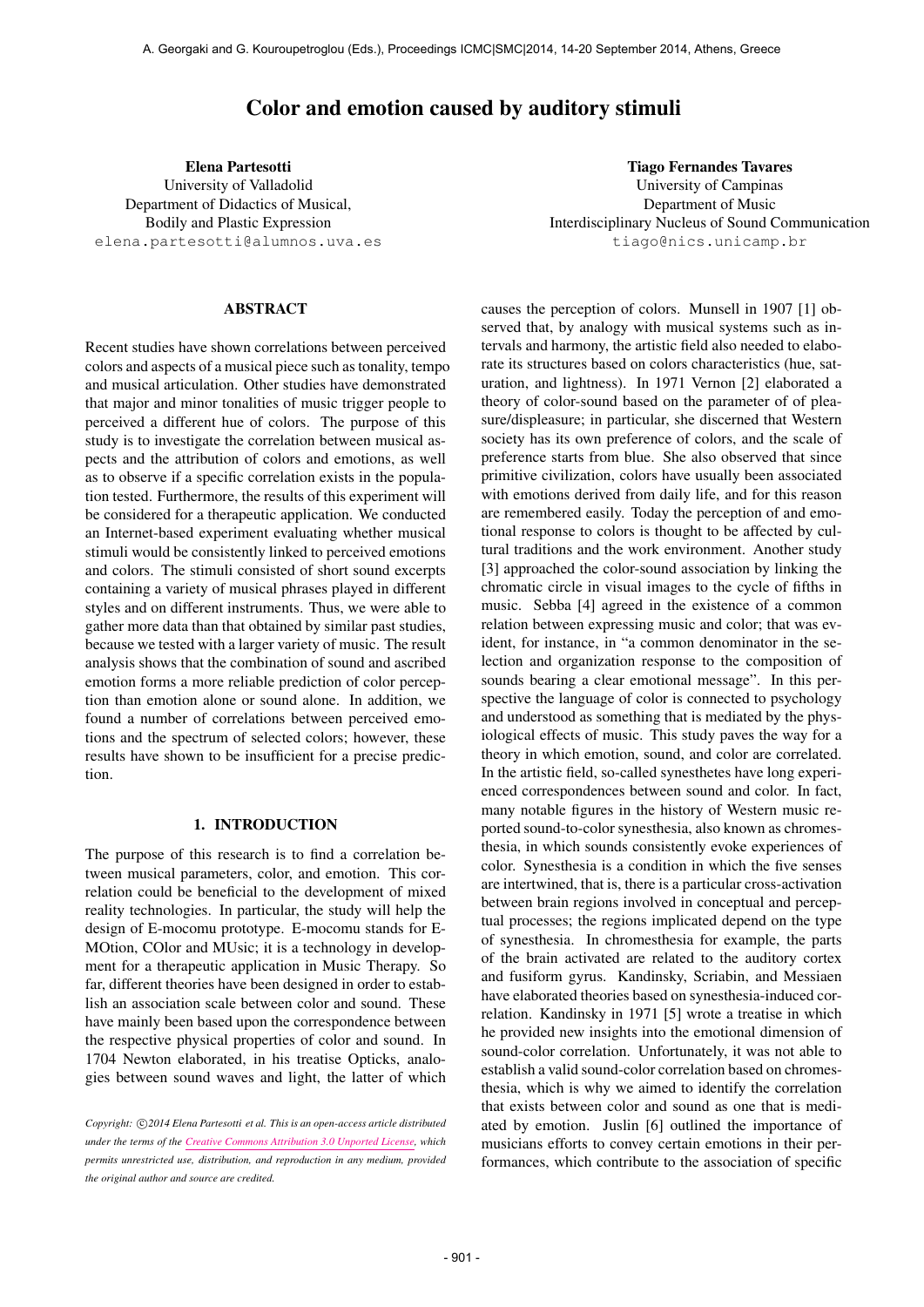# Color and emotion caused by auditory stimuli

Elena Partesotti University of Valladolid Department of Didactics of Musical, Bodily and Plastic Expression [elena.partesotti@alumnos.uva.es](mailto:elena.partesotti@alumnos.uva.es)

## ABSTRACT

Recent studies have shown correlations between perceived colors and aspects of a musical piece such as tonality, tempo and musical articulation. Other studies have demonstrated that major and minor tonalities of music trigger people to perceived a different hue of colors. The purpose of this study is to investigate the correlation between musical aspects and the attribution of colors and emotions, as well as to observe if a specific correlation exists in the population tested. Furthermore, the results of this experiment will be considered for a therapeutic application. We conducted an Internet-based experiment evaluating whether musical stimuli would be consistently linked to perceived emotions and colors. The stimuli consisted of short sound excerpts containing a variety of musical phrases played in different styles and on different instruments. Thus, we were able to gather more data than that obtained by similar past studies, because we tested with a larger variety of music. The result analysis shows that the combination of sound and ascribed emotion forms a more reliable prediction of color perception than emotion alone or sound alone. In addition, we found a number of correlations between perceived emotions and the spectrum of selected colors; however, these results have shown to be insufficient for a precise prediction.

# 1. INTRODUCTION

The purpose of this research is to find a correlation between musical parameters, color, and emotion. This correlation could be beneficial to the development of mixed reality technologies. In particular, the study will help the design of E-mocomu prototype. E-mocomu stands for E-MOtion, COlor and MUsic; it is a technology in development for a therapeutic application in Music Therapy. So far, different theories have been designed in order to establish an association scale between color and sound. These have mainly been based upon the correspondence between the respective physical properties of color and sound. In 1704 Newton elaborated, in his treatise Opticks, analogies between sound waves and light, the latter of which

Tiago Fernandes Tavares University of Campinas Department of Music Interdisciplinary Nucleus of Sound Communication [tiago@nics.unicamp.br](mailto:tiago@nics.unicamp.br)

causes the perception of colors. Munsell in 1907 [1] observed that, by analogy with musical systems such as intervals and harmony, the artistic field also needed to elaborate its structures based on colors characteristics (hue, saturation, and lightness). In 1971 Vernon [2] elaborated a theory of color-sound based on the parameter of of pleasure/displeasure; in particular, she discerned that Western society has its own preference of colors, and the scale of preference starts from blue. She also observed that since primitive civilization, colors have usually been associated with emotions derived from daily life, and for this reason are remembered easily. Today the perception of and emotional response to colors is thought to be affected by cultural traditions and the work environment. Another study [3] approached the color-sound association by linking the chromatic circle in visual images to the cycle of fifths in music. Sebba [4] agreed in the existence of a common relation between expressing music and color; that was evident, for instance, in "a common denominator in the selection and organization response to the composition of sounds bearing a clear emotional message". In this perspective the language of color is connected to psychology and understood as something that is mediated by the physiological effects of music. This study paves the way for a theory in which emotion, sound, and color are correlated. In the artistic field, so-called synesthetes have long experienced correspondences between sound and color. In fact, many notable figures in the history of Western music reported sound-to-color synesthesia, also known as chromesthesia, in which sounds consistently evoke experiences of color. Synesthesia is a condition in which the five senses are intertwined, that is, there is a particular cross-activation between brain regions involved in conceptual and perceptual processes; the regions implicated depend on the type of synesthesia. In chromesthesia for example, the parts of the brain activated are related to the auditory cortex and fusiform gyrus. Kandinsky, Scriabin, and Messiaen have elaborated theories based on synesthesia-induced correlation. Kandinsky in 1971 [5] wrote a treatise in which he provided new insights into the emotional dimension of sound-color correlation. Unfortunately, it was not able to establish a valid sound-color correlation based on chromesthesia, which is why we aimed to identify the correlation that exists between color and sound as one that is mediated by emotion. Juslin [6] outlined the importance of musicians efforts to convey certain emotions in their performances, which contribute to the association of specific

Copyright:  $\bigcirc$ 2014 Elena Partesotti et al. This is an open-access article distributed *under the terms of the [Creative Commons Attribution 3.0 Unported License,](http://creativecommons.org/licenses/by/3.0/) which permits unrestricted use, distribution, and reproduction in any medium, provided the original author and source are credited.*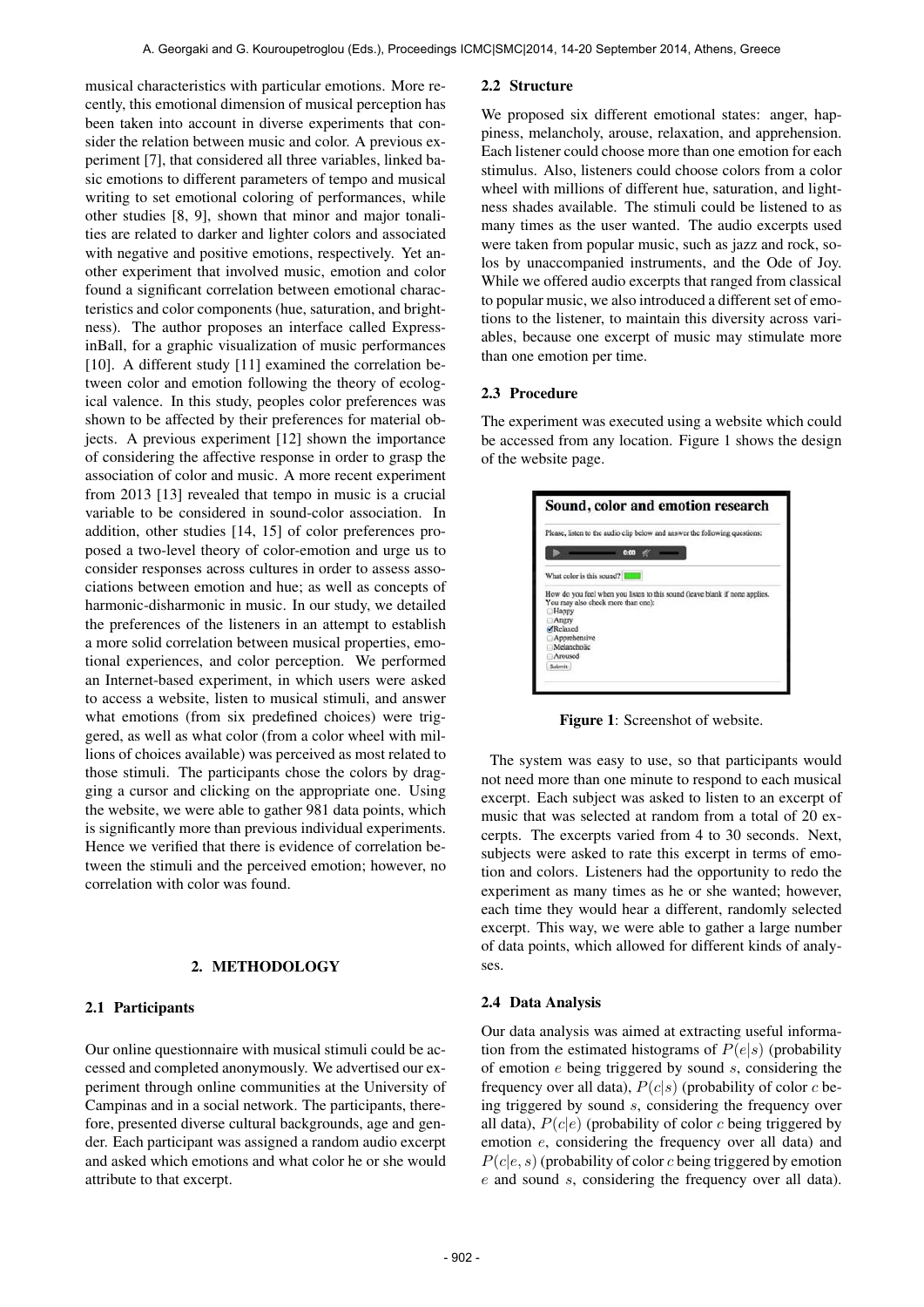musical characteristics with particular emotions. More recently, this emotional dimension of musical perception has been taken into account in diverse experiments that consider the relation between music and color. A previous experiment [7], that considered all three variables, linked basic emotions to different parameters of tempo and musical writing to set emotional coloring of performances, while other studies [8, 9], shown that minor and major tonalities are related to darker and lighter colors and associated with negative and positive emotions, respectively. Yet another experiment that involved music, emotion and color found a significant correlation between emotional characteristics and color components (hue, saturation, and brightness). The author proposes an interface called ExpressinBall, for a graphic visualization of music performances [10]. A different study [11] examined the correlation between color and emotion following the theory of ecological valence. In this study, peoples color preferences was shown to be affected by their preferences for material objects. A previous experiment [12] shown the importance of considering the affective response in order to grasp the association of color and music. A more recent experiment from 2013 [13] revealed that tempo in music is a crucial variable to be considered in sound-color association. In addition, other studies [14, 15] of color preferences proposed a two-level theory of color-emotion and urge us to consider responses across cultures in order to assess associations between emotion and hue; as well as concepts of harmonic-disharmonic in music. In our study, we detailed the preferences of the listeners in an attempt to establish a more solid correlation between musical properties, emotional experiences, and color perception. We performed an Internet-based experiment, in which users were asked to access a website, listen to musical stimuli, and answer what emotions (from six predefined choices) were triggered, as well as what color (from a color wheel with millions of choices available) was perceived as most related to those stimuli. The participants chose the colors by dragging a cursor and clicking on the appropriate one. Using the website, we were able to gather 981 data points, which is significantly more than previous individual experiments. Hence we verified that there is evidence of correlation between the stimuli and the perceived emotion; however, no correlation with color was found.

#### 2. METHODOLOGY

## 2.1 Participants

Our online questionnaire with musical stimuli could be accessed and completed anonymously. We advertised our experiment through online communities at the University of Campinas and in a social network. The participants, therefore, presented diverse cultural backgrounds, age and gender. Each participant was assigned a random audio excerpt and asked which emotions and what color he or she would attribute to that excerpt.

#### 2.2 Structure

We proposed six different emotional states: anger, happiness, melancholy, arouse, relaxation, and apprehension. Each listener could choose more than one emotion for each stimulus. Also, listeners could choose colors from a color wheel with millions of different hue, saturation, and lightness shades available. The stimuli could be listened to as many times as the user wanted. The audio excerpts used were taken from popular music, such as jazz and rock, solos by unaccompanied instruments, and the Ode of Joy. While we offered audio excerpts that ranged from classical to popular music, we also introduced a different set of emotions to the listener, to maintain this diversity across variables, because one excerpt of music may stimulate more than one emotion per time.

## 2.3 Procedure

The experiment was executed using a website which could be accessed from any location. Figure 1 shows the design of the website page.

|                         | Please, listen to the audio clip below and answer the following questions:                                        |  |
|-------------------------|-------------------------------------------------------------------------------------------------------------------|--|
|                         | 0:00                                                                                                              |  |
|                         | What color is this sound?                                                                                         |  |
| Happy<br>Angry          | How do you feel when you listen to this sound (leave blank if none applies.<br>You may also check more than one): |  |
| Relaxed<br>Apprehensive |                                                                                                                   |  |
| Melancholic             |                                                                                                                   |  |
|                         |                                                                                                                   |  |

Figure 1: Screenshot of website.

The system was easy to use, so that participants would not need more than one minute to respond to each musical excerpt. Each subject was asked to listen to an excerpt of music that was selected at random from a total of 20 excerpts. The excerpts varied from 4 to 30 seconds. Next, subjects were asked to rate this excerpt in terms of emotion and colors. Listeners had the opportunity to redo the experiment as many times as he or she wanted; however, each time they would hear a different, randomly selected excerpt. This way, we were able to gather a large number of data points, which allowed for different kinds of analyses.

## 2.4 Data Analysis

Our data analysis was aimed at extracting useful information from the estimated histograms of  $P(e|s)$  (probability of emotion  $e$  being triggered by sound  $s$ , considering the frequency over all data),  $P(c|s)$  (probability of color c being triggered by sound s, considering the frequency over all data),  $P(c|e)$  (probability of color c being triggered by emotion e, considering the frequency over all data) and  $P(c|e, s)$  (probability of color c being triggered by emotion e and sound s, considering the frequency over all data).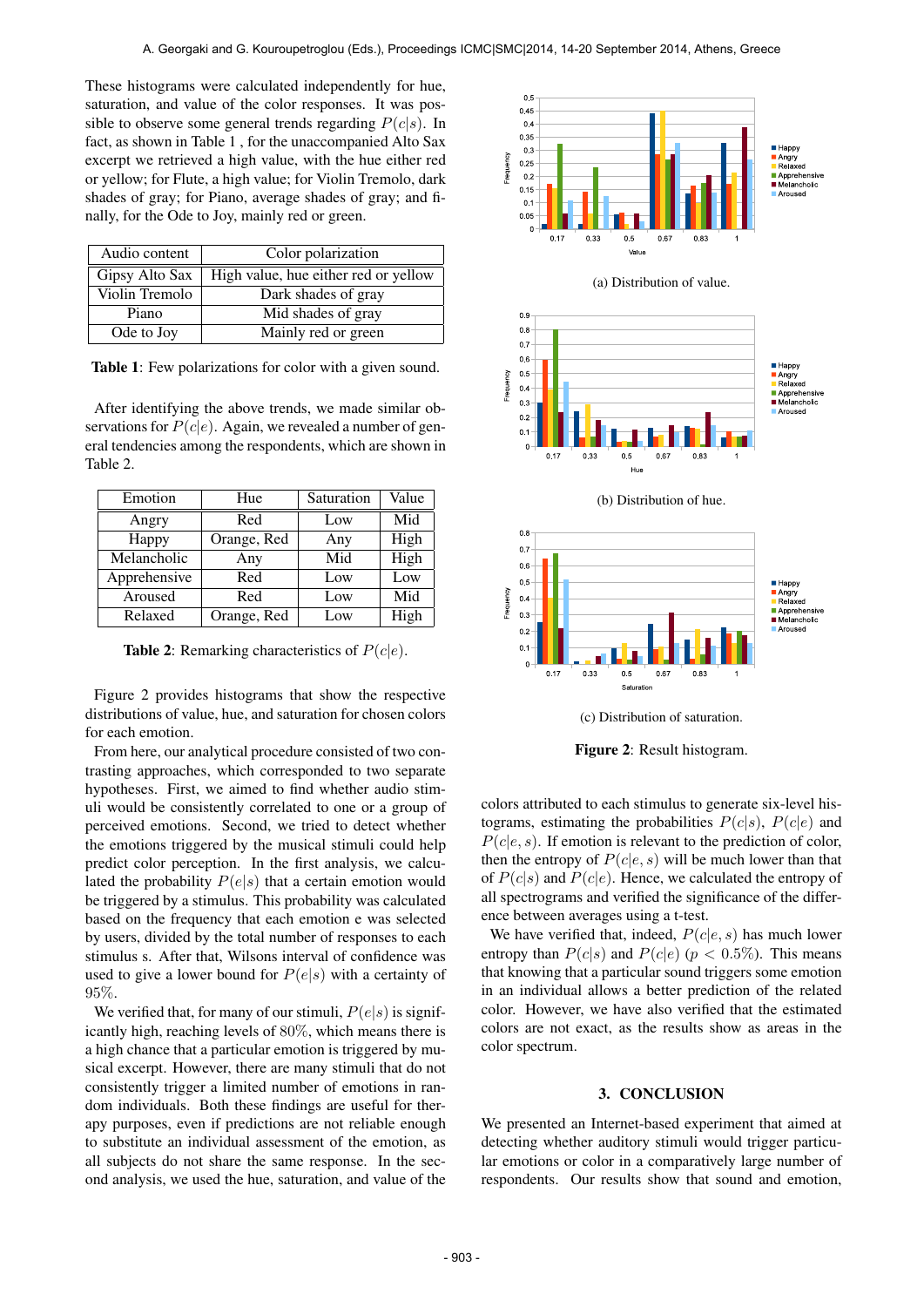These histograms were calculated independently for hue, saturation, and value of the color responses. It was possible to observe some general trends regarding  $P(c|s)$ . In fact, as shown in Table 1 , for the unaccompanied Alto Sax excerpt we retrieved a high value, with the hue either red or yellow; for Flute, a high value; for Violin Tremolo, dark shades of gray; for Piano, average shades of gray; and finally, for the Ode to Joy, mainly red or green.

| Audio content  | Color polarization                   |  |  |
|----------------|--------------------------------------|--|--|
| Gipsy Alto Sax | High value, hue either red or yellow |  |  |
| Violin Tremolo | Dark shades of gray                  |  |  |
| Piano          | Mid shades of gray                   |  |  |
| Ode to Joy     | Mainly red or green                  |  |  |

Table 1: Few polarizations for color with a given sound.

After identifying the above trends, we made similar observations for  $P(c|e)$ . Again, we revealed a number of general tendencies among the respondents, which are shown in Table 2.

| Emotion      | Hue         | Saturation | Value |
|--------------|-------------|------------|-------|
| Angry        | Red         | Low        | Mid   |
| Happy        | Orange, Red | Any        | High  |
| Melancholic  | Any         | Mid        | High  |
| Apprehensive | Red         | Low        | Low   |
| Aroused      | Red         | Low        | Mid   |
| Relaxed      | Orange, Red | Low        | High  |

**Table 2:** Remarking characteristics of  $P(c|e)$ .

Figure 2 provides histograms that show the respective distributions of value, hue, and saturation for chosen colors for each emotion.

From here, our analytical procedure consisted of two contrasting approaches, which corresponded to two separate hypotheses. First, we aimed to find whether audio stimuli would be consistently correlated to one or a group of perceived emotions. Second, we tried to detect whether the emotions triggered by the musical stimuli could help predict color perception. In the first analysis, we calculated the probability  $P(e|s)$  that a certain emotion would be triggered by a stimulus. This probability was calculated based on the frequency that each emotion e was selected by users, divided by the total number of responses to each stimulus s. After that, Wilsons interval of confidence was used to give a lower bound for  $P(e|s)$  with a certainty of 95%.

We verified that, for many of our stimuli,  $P(e|s)$  is significantly high, reaching levels of 80%, which means there is a high chance that a particular emotion is triggered by musical excerpt. However, there are many stimuli that do not consistently trigger a limited number of emotions in random individuals. Both these findings are useful for therapy purposes, even if predictions are not reliable enough to substitute an individual assessment of the emotion, as all subjects do not share the same response. In the second analysis, we used the hue, saturation, and value of the



colors attributed to each stimulus to generate six-level histograms, estimating the probabilities  $P(c|s)$ ,  $P(c|e)$  and  $P(c|e, s)$ . If emotion is relevant to the prediction of color, then the entropy of  $P(c|e, s)$  will be much lower than that of  $P(c|s)$  and  $P(c|e)$ . Hence, we calculated the entropy of all spectrograms and verified the significance of the difference between averages using a t-test.

We have verified that, indeed,  $P(c|e, s)$  has much lower entropy than  $P(c|s)$  and  $P(c|e)$  ( $p < 0.5\%$ ). This means that knowing that a particular sound triggers some emotion in an individual allows a better prediction of the related color. However, we have also verified that the estimated colors are not exact, as the results show as areas in the color spectrum.

## 3. CONCLUSION

We presented an Internet-based experiment that aimed at detecting whether auditory stimuli would trigger particular emotions or color in a comparatively large number of respondents. Our results show that sound and emotion,